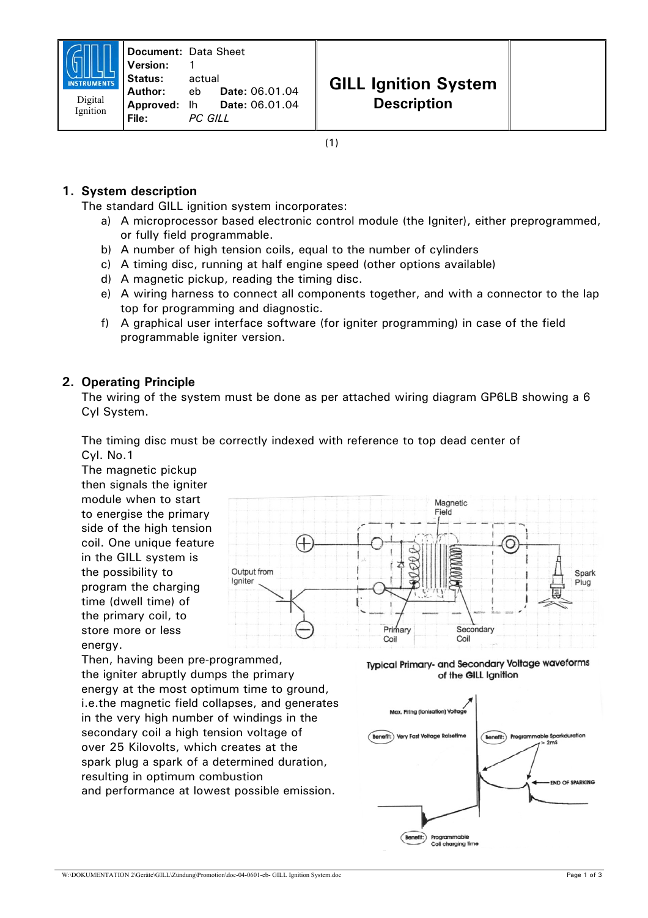# **1. System description**

The standard GILL ignition system incorporates:

- a) A microprocessor based electronic control module (the Igniter), either preprogrammed, or fully field programmable.
- b) A number of high tension coils, equal to the number of cylinders
- c) A timing disc, running at half engine speed (other options available)
- d) A magnetic pickup, reading the timing disc.
- e) A wiring harness to connect all components together, and with a connector to the lap top for programming and diagnostic.
- f) A graphical user interface software (for igniter programming) in case of the field programmable igniter version.

# **2. Operating Principle**

The wiring of the system must be done as per attached wiring diagram GP6LB showing a 6 Cyl System.

The timing disc must be correctly indexed with reference to top dead center of Cyl. No.1

The magnetic pickup then signals the igniter module when to start to energise the primary side of the high tension coil. One unique feature in the GILL system is the possibility to program the charging time (dwell time) of the primary coil, to store more or less energy.



Then, having been pre-programmed, the igniter abruptly dumps the primary energy at the most optimum time to ground, i.e.the magnetic field collapses, and generates in the very high number of windings in the secondary coil a high tension voltage of over 25 Kilovolts, which creates at the spark plug a spark of a determined duration, resulting in optimum combustion and performance at lowest possible emission.

Typical Primary- and Secondary Voltage waveforms of the GILL Ignition



W:\DOKUMENTATION 2\Geräte\GILL\Zündung\Promotion\doc-04-0601-eb- GILL Ignition System.doc Page 1 of 3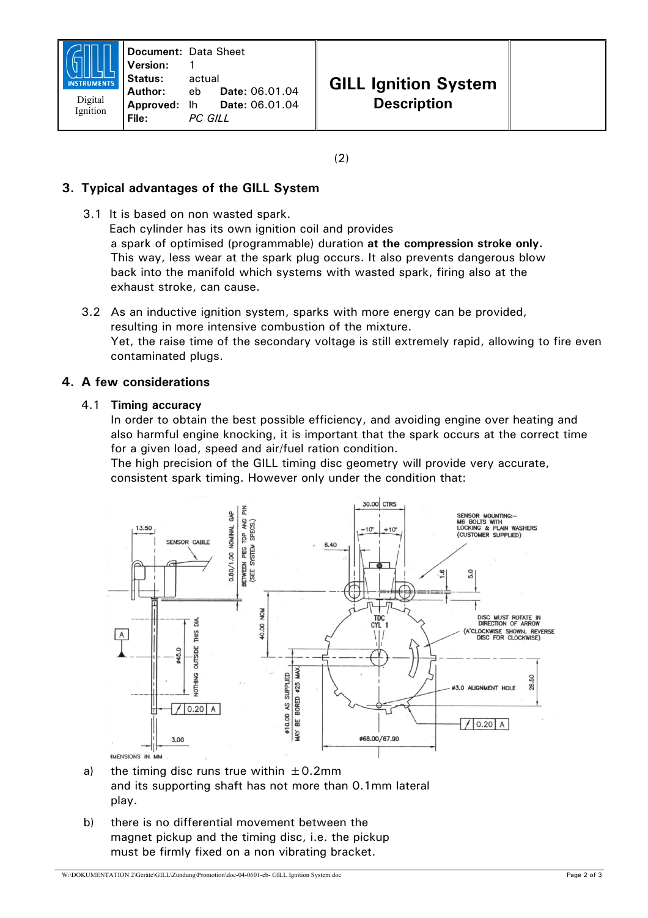(2)

## **3. Typical advantages of the GILL System**

- 3.1 It is based on non wasted spark. Each cylinder has its own ignition coil and provides a spark of optimised (programmable) duration **at the compression stroke only.** This way, less wear at the spark plug occurs. It also prevents dangerous blow back into the manifold which systems with wasted spark, firing also at the exhaust stroke, can cause.
- 3.2 As an inductive ignition system, sparks with more energy can be provided, resulting in more intensive combustion of the mixture. Yet, the raise time of the secondary voltage is still extremely rapid, allowing to fire even contaminated plugs.

### **4. A few considerations**

#### 4.1 **Timing accuracy**

In order to obtain the best possible efficiency, and avoiding engine over heating and also harmful engine knocking, it is important that the spark occurs at the correct time for a given load, speed and air/fuel ration condition.

The high precision of the GILL timing disc geometry will provide very accurate, consistent spark timing. However only under the condition that:



- a) the timing disc runs true within  $\pm$  0.2mm and its supporting shaft has not more than 0.1mm lateral play.
- b) there is no differential movement between the magnet pickup and the timing disc, i.e. the pickup must be firmly fixed on a non vibrating bracket.